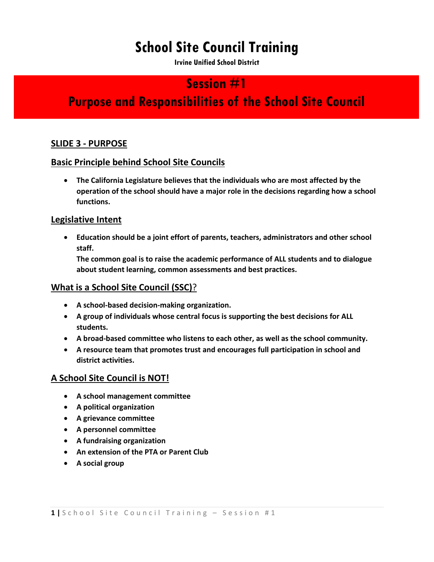# **School Site Council Training**

**Irvine Unified School District** 

## **Session #1**

# **Purpose and Responsibilities of the School Site Council**

### **SLIDE 3 - PURPOSE**

#### **Basic Principle behind School Site Councils**

 **The California Legislature believes that the individuals who are most affected by the operation of the school should have a major role in the decisions regarding how a school functions.**

#### **Legislative Intent**

 **Education should be a joint effort of parents, teachers, administrators and other school staff.**

**The common goal is to raise the academic performance of ALL students and to dialogue about student learning, common assessments and best practices.** 

#### **What is a School Site Council (SSC)**?

- **A school-based decision-making organization.**
- **A group of individuals whose central focus is supporting the best decisions for ALL students.**
- **A broad-based committee who listens to each other, as well as the school community.**
- **A resource team that promotes trust and encourages full participation in school and district activities.**

### **A School Site Council is NOT!**

- **A school management committee**
- **A political organization**
- **A grievance committee**
- **A personnel committee**
- **A fundraising organization**
- **An extension of the PTA or Parent Club**
- **A social group**